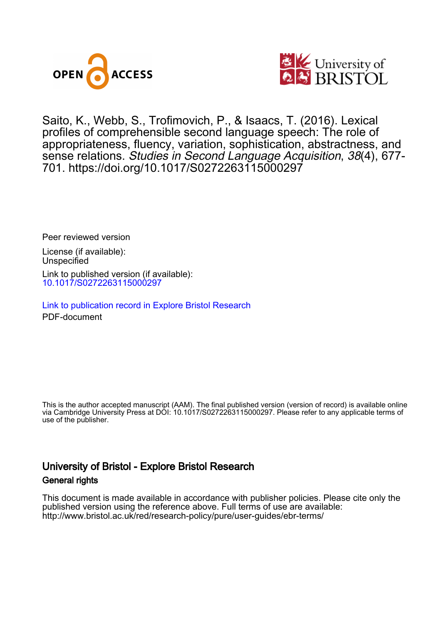



Saito, K., Webb, S., Trofimovich, P., & Isaacs, T. (2016). Lexical profiles of comprehensible second language speech: The role of appropriateness, fluency, variation, sophistication, abstractness, and sense relations. Studies in Second Language Acquisition, 38(4), 677- 701. <https://doi.org/10.1017/S0272263115000297>

Peer reviewed version

License (if available): Unspecified Link to published version (if available): [10.1017/S0272263115000297](https://doi.org/10.1017/S0272263115000297)

[Link to publication record in Explore Bristol Research](https://research-information.bris.ac.uk/en/publications/b537274b-e6ca-4811-883f-e3a4aa39d2f8) PDF-document

This is the author accepted manuscript (AAM). The final published version (version of record) is available online via Cambridge University Press at DOI: 10.1017/S0272263115000297. Please refer to any applicable terms of use of the publisher.

# University of Bristol - Explore Bristol Research General rights

This document is made available in accordance with publisher policies. Please cite only the published version using the reference above. Full terms of use are available: http://www.bristol.ac.uk/red/research-policy/pure/user-guides/ebr-terms/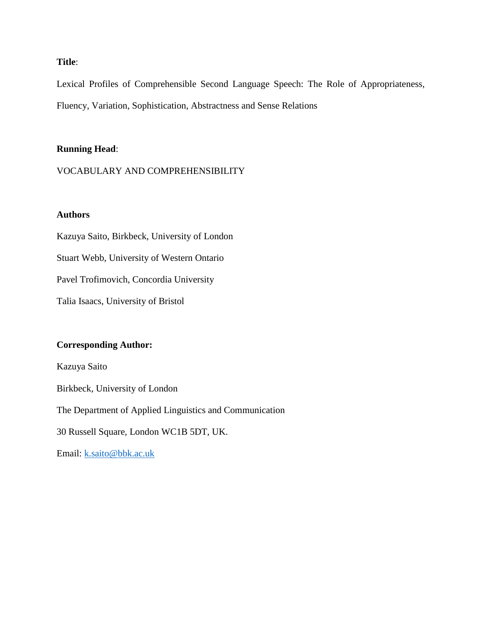## **Title**:

Lexical Profiles of Comprehensible Second Language Speech: The Role of Appropriateness, Fluency, Variation, Sophistication, Abstractness and Sense Relations

## **Running Head**:

VOCABULARY AND COMPREHENSIBILITY

## **Authors**

Kazuya Saito, Birkbeck, University of London Stuart Webb, University of Western Ontario Pavel Trofimovich, Concordia University Talia Isaacs, University of Bristol

## **Corresponding Author:**

Kazuya Saito Birkbeck, University of London The Department of Applied Linguistics and Communication 30 Russell Square, London WC1B 5DT, UK. Email: [k.saito@bbk.ac.uk](mailto:k.saito@bbk.ac.uk)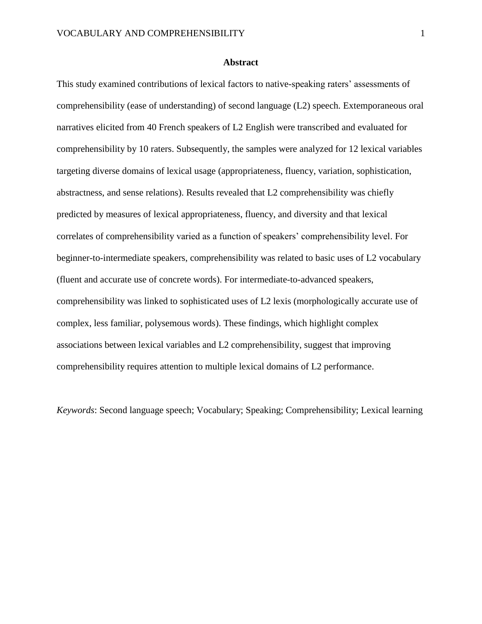#### **Abstract**

This study examined contributions of lexical factors to native-speaking raters' assessments of comprehensibility (ease of understanding) of second language (L2) speech. Extemporaneous oral narratives elicited from 40 French speakers of L2 English were transcribed and evaluated for comprehensibility by 10 raters. Subsequently, the samples were analyzed for 12 lexical variables targeting diverse domains of lexical usage (appropriateness, fluency, variation, sophistication, abstractness, and sense relations). Results revealed that L2 comprehensibility was chiefly predicted by measures of lexical appropriateness, fluency, and diversity and that lexical correlates of comprehensibility varied as a function of speakers' comprehensibility level. For beginner-to-intermediate speakers, comprehensibility was related to basic uses of L2 vocabulary (fluent and accurate use of concrete words). For intermediate-to-advanced speakers, comprehensibility was linked to sophisticated uses of L2 lexis (morphologically accurate use of complex, less familiar, polysemous words). These findings, which highlight complex associations between lexical variables and L2 comprehensibility, suggest that improving comprehensibility requires attention to multiple lexical domains of L2 performance.

*Keywords*: Second language speech; Vocabulary; Speaking; Comprehensibility; Lexical learning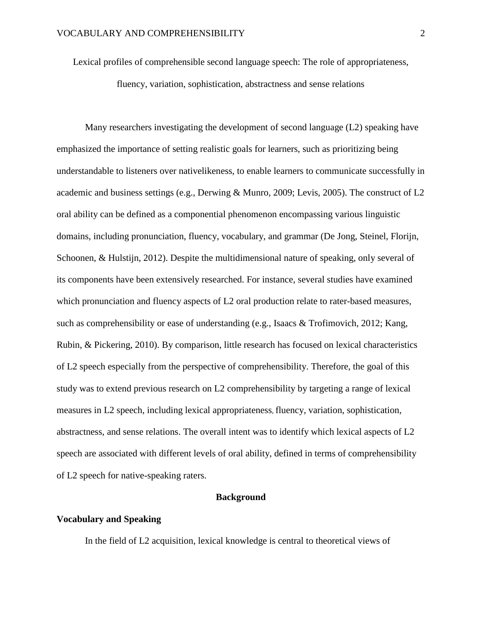Lexical profiles of comprehensible second language speech: The role of appropriateness,

fluency, variation, sophistication, abstractness and sense relations

Many researchers investigating the development of second language (L2) speaking have emphasized the importance of setting realistic goals for learners, such as prioritizing being understandable to listeners over nativelikeness, to enable learners to communicate successfully in academic and business settings (e.g., Derwing & Munro, 2009; Levis, 2005). The construct of L2 oral ability can be defined as a componential phenomenon encompassing various linguistic domains, including pronunciation, fluency, vocabulary, and grammar (De Jong, Steinel, Florijn, Schoonen, & Hulstijn, 2012). Despite the multidimensional nature of speaking, only several of its components have been extensively researched. For instance, several studies have examined which pronunciation and fluency aspects of L2 oral production relate to rater-based measures, such as comprehensibility or ease of understanding (e.g., Isaacs & Trofimovich, 2012; Kang, Rubin, & Pickering, 2010). By comparison, little research has focused on lexical characteristics of L2 speech especially from the perspective of comprehensibility. Therefore, the goal of this study was to extend previous research on L2 comprehensibility by targeting a range of lexical measures in L2 speech, including lexical appropriateness, fluency, variation, sophistication, abstractness, and sense relations. The overall intent was to identify which lexical aspects of L2 speech are associated with different levels of oral ability, defined in terms of comprehensibility of L2 speech for native-speaking raters.

## **Background**

### **Vocabulary and Speaking**

In the field of L2 acquisition, lexical knowledge is central to theoretical views of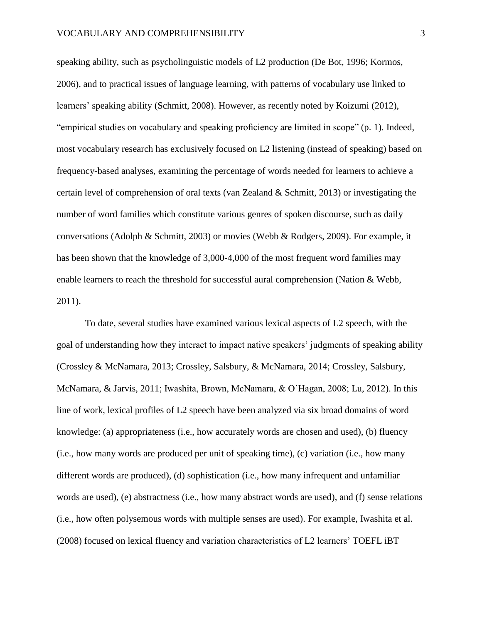speaking ability, such as psycholinguistic models of L2 production (De Bot, 1996; Kormos, 2006), and to practical issues of language learning, with patterns of vocabulary use linked to learners' speaking ability (Schmitt, 2008). However, as recently noted by Koizumi (2012), "empirical studies on vocabulary and speaking proficiency are limited in scope" (p. 1). Indeed, most vocabulary research has exclusively focused on L2 listening (instead of speaking) based on frequency-based analyses, examining the percentage of words needed for learners to achieve a certain level of comprehension of oral texts (van Zealand & Schmitt, 2013) or investigating the number of word families which constitute various genres of spoken discourse, such as daily conversations (Adolph & Schmitt, 2003) or movies (Webb & Rodgers, 2009). For example, it has been shown that the knowledge of 3,000-4,000 of the most frequent word families may enable learners to reach the threshold for successful aural comprehension (Nation & Webb, 2011).

To date, several studies have examined various lexical aspects of L2 speech, with the goal of understanding how they interact to impact native speakers' judgments of speaking ability (Crossley & McNamara, 2013; Crossley, Salsbury, & McNamara, 2014; Crossley, Salsbury, McNamara, & Jarvis, 2011; Iwashita, Brown, McNamara, & O'Hagan, 2008; Lu, 2012). In this line of work, lexical profiles of L2 speech have been analyzed via six broad domains of word knowledge: (a) appropriateness (i.e., how accurately words are chosen and used), (b) fluency (i.e., how many words are produced per unit of speaking time), (c) variation (i.e., how many different words are produced), (d) sophistication (i.e., how many infrequent and unfamiliar words are used), (e) abstractness (i.e., how many abstract words are used), and (f) sense relations (i.e., how often polysemous words with multiple senses are used). For example, Iwashita et al. (2008) focused on lexical fluency and variation characteristics of L2 learners' TOEFL iBT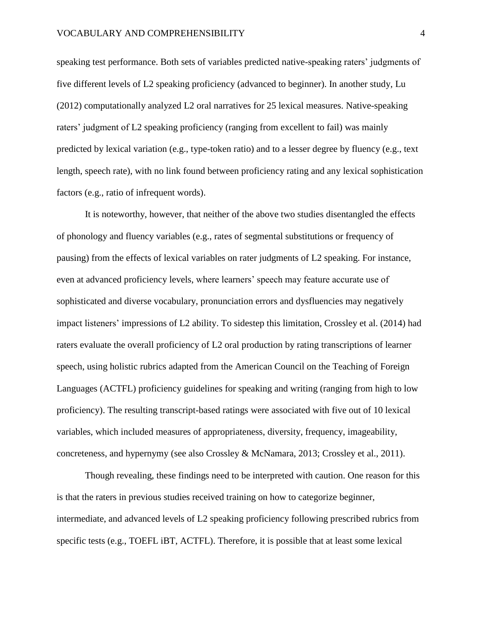speaking test performance. Both sets of variables predicted native-speaking raters' judgments of five different levels of L2 speaking proficiency (advanced to beginner). In another study, Lu (2012) computationally analyzed L2 oral narratives for 25 lexical measures. Native-speaking raters' judgment of L2 speaking proficiency (ranging from excellent to fail) was mainly predicted by lexical variation (e.g., type-token ratio) and to a lesser degree by fluency (e.g., text length, speech rate), with no link found between proficiency rating and any lexical sophistication factors (e.g., ratio of infrequent words).

It is noteworthy, however, that neither of the above two studies disentangled the effects of phonology and fluency variables (e.g., rates of segmental substitutions or frequency of pausing) from the effects of lexical variables on rater judgments of L2 speaking. For instance, even at advanced proficiency levels, where learners' speech may feature accurate use of sophisticated and diverse vocabulary, pronunciation errors and dysfluencies may negatively impact listeners' impressions of L2 ability. To sidestep this limitation, Crossley et al. (2014) had raters evaluate the overall proficiency of L2 oral production by rating transcriptions of learner speech, using holistic rubrics adapted from the American Council on the Teaching of Foreign Languages (ACTFL) proficiency guidelines for speaking and writing (ranging from high to low proficiency). The resulting transcript-based ratings were associated with five out of 10 lexical variables, which included measures of appropriateness, diversity, frequency, imageability, concreteness, and hypernymy (see also Crossley & McNamara, 2013; Crossley et al., 2011).

Though revealing, these findings need to be interpreted with caution. One reason for this is that the raters in previous studies received training on how to categorize beginner, intermediate, and advanced levels of L2 speaking proficiency following prescribed rubrics from specific tests (e.g., TOEFL iBT, ACTFL). Therefore, it is possible that at least some lexical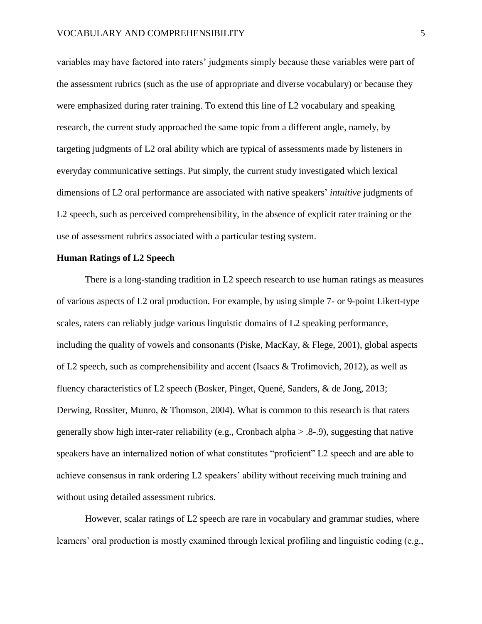variables may have factored into raters' judgments simply because these variables were part of the assessment rubrics (such as the use of appropriate and diverse vocabulary) or because they were emphasized during rater training. To extend this line of L2 vocabulary and speaking research, the current study approached the same topic from a different angle, namely, by targeting judgments of L2 oral ability which are typical of assessments made by listeners in everyday communicative settings. Put simply, the current study investigated which lexical dimensions of L2 oral performance are associated with native speakers' *intuitive* judgments of L2 speech, such as perceived comprehensibility, in the absence of explicit rater training or the use of assessment rubrics associated with a particular testing system.

## **Human Ratings of L2 Speech**

There is a long-standing tradition in L2 speech research to use human ratings as measures of various aspects of L2 oral production. For example, by using simple 7- or 9-point Likert-type scales, raters can reliably judge various linguistic domains of L2 speaking performance, including the quality of vowels and consonants (Piske, MacKay, & Flege, 2001), global aspects of L2 speech, such as comprehensibility and accent (Isaacs & Trofimovich, 2012), as well as fluency characteristics of L2 speech (Bosker, Pinget, Quené, Sanders, & de Jong, 2013; Derwing, Rossiter, Munro, & Thomson, 2004). What is common to this research is that raters generally show high inter-rater reliability (e.g., Cronbach alpha  $> 0.8-0$ ), suggesting that native speakers have an internalized notion of what constitutes "proficient" L2 speech and are able to achieve consensus in rank ordering L2 speakers' ability without receiving much training and without using detailed assessment rubrics.

However, scalar ratings of L2 speech are rare in vocabulary and grammar studies, where learners' oral production is mostly examined through lexical profiling and linguistic coding (e.g.,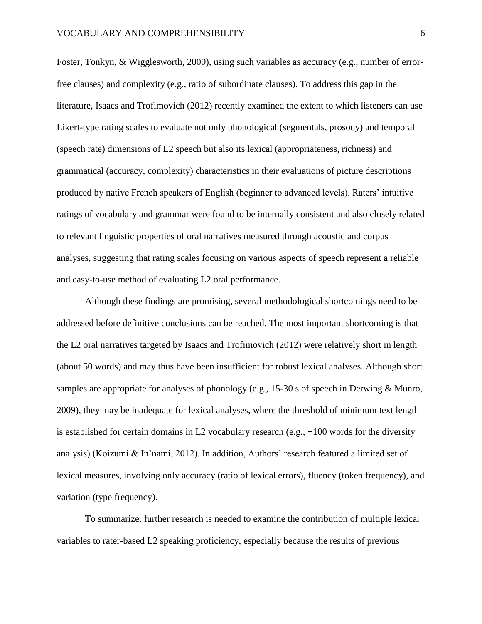Foster, Tonkyn, & Wigglesworth, 2000), using such variables as accuracy (e.g., number of errorfree clauses) and complexity (e.g., ratio of subordinate clauses). To address this gap in the literature, Isaacs and Trofimovich (2012) recently examined the extent to which listeners can use Likert-type rating scales to evaluate not only phonological (segmentals, prosody) and temporal (speech rate) dimensions of L2 speech but also its lexical (appropriateness, richness) and grammatical (accuracy, complexity) characteristics in their evaluations of picture descriptions produced by native French speakers of English (beginner to advanced levels). Raters' intuitive ratings of vocabulary and grammar were found to be internally consistent and also closely related to relevant linguistic properties of oral narratives measured through acoustic and corpus analyses, suggesting that rating scales focusing on various aspects of speech represent a reliable and easy-to-use method of evaluating L2 oral performance.

Although these findings are promising, several methodological shortcomings need to be addressed before definitive conclusions can be reached. The most important shortcoming is that the L2 oral narratives targeted by Isaacs and Trofimovich (2012) were relatively short in length (about 50 words) and may thus have been insufficient for robust lexical analyses. Although short samples are appropriate for analyses of phonology (e.g., 15-30 s of speech in Derwing & Munro, 2009), they may be inadequate for lexical analyses, where the threshold of minimum text length is established for certain domains in L2 vocabulary research (e.g.,  $+100$  words for the diversity analysis) (Koizumi & In'nami, 2012). In addition, Authors' research featured a limited set of lexical measures, involving only accuracy (ratio of lexical errors), fluency (token frequency), and variation (type frequency).

To summarize, further research is needed to examine the contribution of multiple lexical variables to rater-based L2 speaking proficiency, especially because the results of previous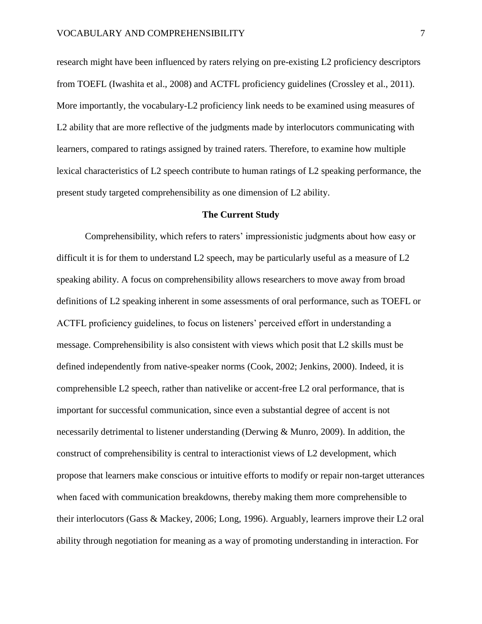research might have been influenced by raters relying on pre-existing L2 proficiency descriptors from TOEFL (Iwashita et al., 2008) and ACTFL proficiency guidelines (Crossley et al., 2011). More importantly, the vocabulary-L2 proficiency link needs to be examined using measures of L2 ability that are more reflective of the judgments made by interlocutors communicating with learners, compared to ratings assigned by trained raters. Therefore, to examine how multiple lexical characteristics of L2 speech contribute to human ratings of L2 speaking performance, the present study targeted comprehensibility as one dimension of L2 ability.

#### **The Current Study**

Comprehensibility, which refers to raters' impressionistic judgments about how easy or difficult it is for them to understand L2 speech, may be particularly useful as a measure of L2 speaking ability. A focus on comprehensibility allows researchers to move away from broad definitions of L2 speaking inherent in some assessments of oral performance, such as TOEFL or ACTFL proficiency guidelines, to focus on listeners' perceived effort in understanding a message. Comprehensibility is also consistent with views which posit that L2 skills must be defined independently from native-speaker norms (Cook, 2002; Jenkins, 2000). Indeed, it is comprehensible L2 speech, rather than nativelike or accent-free L2 oral performance, that is important for successful communication, since even a substantial degree of accent is not necessarily detrimental to listener understanding (Derwing & Munro, 2009). In addition, the construct of comprehensibility is central to interactionist views of L2 development, which propose that learners make conscious or intuitive efforts to modify or repair non-target utterances when faced with communication breakdowns, thereby making them more comprehensible to their interlocutors (Gass & Mackey, 2006; Long, 1996). Arguably, learners improve their L2 oral ability through negotiation for meaning as a way of promoting understanding in interaction. For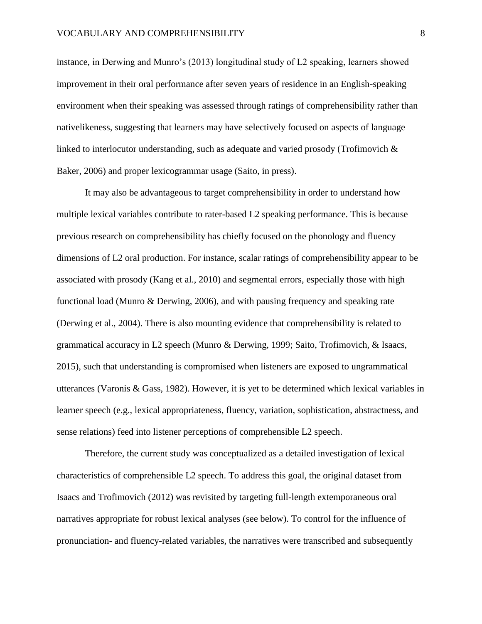instance, in Derwing and Munro's (2013) longitudinal study of L2 speaking, learners showed improvement in their oral performance after seven years of residence in an English-speaking environment when their speaking was assessed through ratings of comprehensibility rather than nativelikeness, suggesting that learners may have selectively focused on aspects of language linked to interlocutor understanding, such as adequate and varied prosody (Trofimovich & Baker, 2006) and proper lexicogrammar usage (Saito, in press).

It may also be advantageous to target comprehensibility in order to understand how multiple lexical variables contribute to rater-based L2 speaking performance. This is because previous research on comprehensibility has chiefly focused on the phonology and fluency dimensions of L2 oral production. For instance, scalar ratings of comprehensibility appear to be associated with prosody (Kang et al., 2010) and segmental errors, especially those with high functional load (Munro & Derwing, 2006), and with pausing frequency and speaking rate (Derwing et al., 2004). There is also mounting evidence that comprehensibility is related to grammatical accuracy in L2 speech (Munro & Derwing, 1999; Saito, Trofimovich, & Isaacs, 2015), such that understanding is compromised when listeners are exposed to ungrammatical utterances (Varonis & Gass, 1982). However, it is yet to be determined which lexical variables in learner speech (e.g., lexical appropriateness, fluency, variation, sophistication, abstractness, and sense relations) feed into listener perceptions of comprehensible L2 speech.

Therefore, the current study was conceptualized as a detailed investigation of lexical characteristics of comprehensible L2 speech. To address this goal, the original dataset from Isaacs and Trofimovich (2012) was revisited by targeting full-length extemporaneous oral narratives appropriate for robust lexical analyses (see below). To control for the influence of pronunciation- and fluency-related variables, the narratives were transcribed and subsequently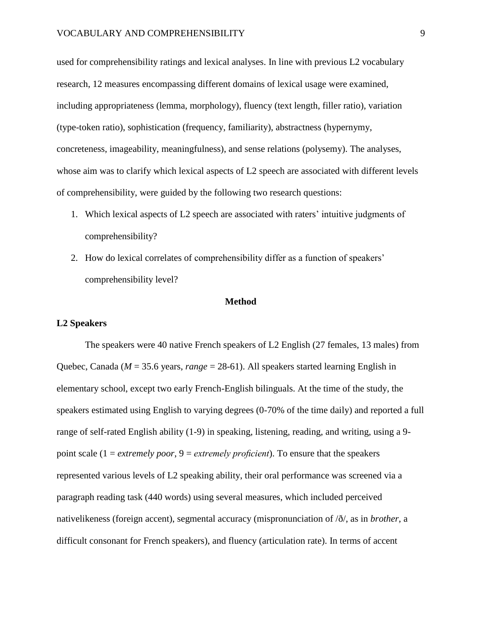used for comprehensibility ratings and lexical analyses. In line with previous L2 vocabulary research, 12 measures encompassing different domains of lexical usage were examined, including appropriateness (lemma, morphology), fluency (text length, filler ratio), variation (type-token ratio), sophistication (frequency, familiarity), abstractness (hypernymy, concreteness, imageability, meaningfulness), and sense relations (polysemy). The analyses, whose aim was to clarify which lexical aspects of L2 speech are associated with different levels of comprehensibility, were guided by the following two research questions:

- 1. Which lexical aspects of L2 speech are associated with raters' intuitive judgments of comprehensibility?
- 2. How do lexical correlates of comprehensibility differ as a function of speakers' comprehensibility level?

#### **Method**

### **L2 Speakers**

The speakers were 40 native French speakers of L2 English (27 females, 13 males) from Quebec, Canada (*M* = 35.6 years, *range* = 28-61). All speakers started learning English in elementary school, except two early French-English bilinguals. At the time of the study, the speakers estimated using English to varying degrees (0-70% of the time daily) and reported a full range of self-rated English ability (1-9) in speaking, listening, reading, and writing, using a 9 point scale (1 = *extremely poor*, 9 = *extremely proficient*). To ensure that the speakers represented various levels of L2 speaking ability, their oral performance was screened via a paragraph reading task (440 words) using several measures, which included perceived nativelikeness (foreign accent), segmental accuracy (mispronunciation of /ð/, as in *brother*, a difficult consonant for French speakers), and fluency (articulation rate). In terms of accent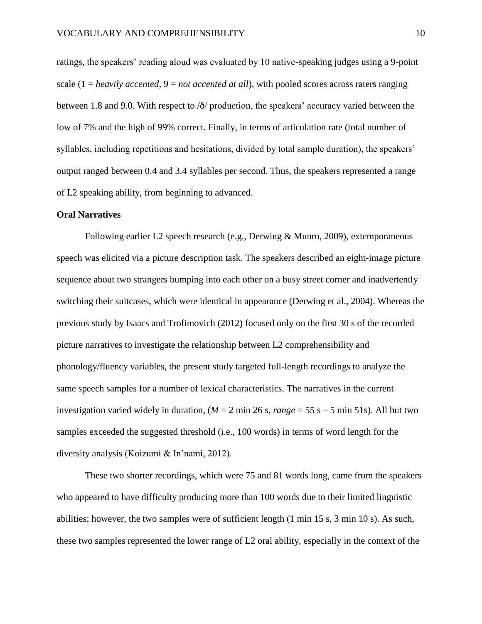ratings, the speakers' reading aloud was evaluated by 10 native-speaking judges using a 9-point scale (1 = *heavily accented*, 9 = *not accented at all*), with pooled scores across raters ranging between 1.8 and 9.0. With respect to /ð/ production, the speakers' accuracy varied between the low of 7% and the high of 99% correct. Finally, in terms of articulation rate (total number of syllables, including repetitions and hesitations, divided by total sample duration), the speakers' output ranged between 0.4 and 3.4 syllables per second. Thus, the speakers represented a range of L2 speaking ability, from beginning to advanced.

### **Oral Narratives**

Following earlier L2 speech research (e.g., Derwing & Munro, 2009), extemporaneous speech was elicited via a picture description task. The speakers described an eight-image picture sequence about two strangers bumping into each other on a busy street corner and inadvertently switching their suitcases, which were identical in appearance (Derwing et al., 2004). Whereas the previous study by Isaacs and Trofimovich (2012) focused only on the first 30 s of the recorded picture narratives to investigate the relationship between L2 comprehensibility and phonology/fluency variables, the present study targeted full-length recordings to analyze the same speech samples for a number of lexical characteristics. The narratives in the current investigation varied widely in duration,  $(M = 2 \text{ min } 26 \text{ s}, \text{range} = 55 \text{ s} - 5 \text{ min } 51 \text{ s})$ . All but two samples exceeded the suggested threshold (i.e., 100 words) in terms of word length for the diversity analysis (Koizumi & In'nami, 2012).

These two shorter recordings, which were 75 and 81 words long, came from the speakers who appeared to have difficulty producing more than 100 words due to their limited linguistic abilities; however, the two samples were of sufficient length (1 min 15 s, 3 min 10 s). As such, these two samples represented the lower range of L2 oral ability, especially in the context of the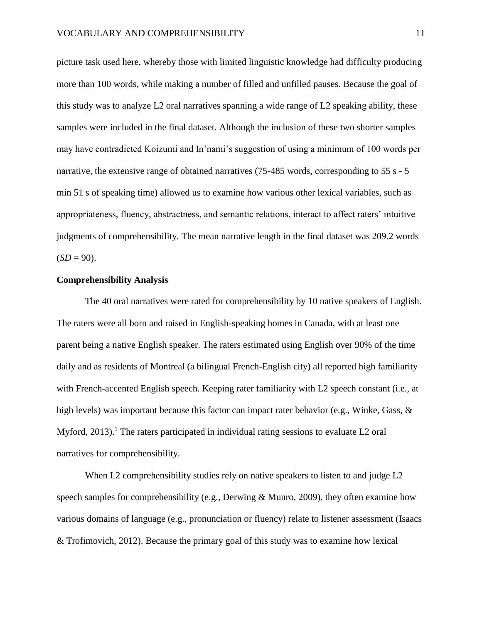picture task used here, whereby those with limited linguistic knowledge had difficulty producing more than 100 words, while making a number of filled and unfilled pauses. Because the goal of this study was to analyze L2 oral narratives spanning a wide range of L2 speaking ability, these samples were included in the final dataset. Although the inclusion of these two shorter samples may have contradicted Koizumi and In'nami's suggestion of using a minimum of 100 words per narrative, the extensive range of obtained narratives (75-485 words, corresponding to 55 s - 5 min 51 s of speaking time) allowed us to examine how various other lexical variables, such as appropriateness, fluency, abstractness, and semantic relations, interact to affect raters' intuitive judgments of comprehensibility. The mean narrative length in the final dataset was 209.2 words  $(SD = 90)$ .

### **Comprehensibility Analysis**

The 40 oral narratives were rated for comprehensibility by 10 native speakers of English. The raters were all born and raised in English-speaking homes in Canada, with at least one parent being a native English speaker. The raters estimated using English over 90% of the time daily and as residents of Montreal (a bilingual French-English city) all reported high familiarity with French-accented English speech. Keeping rater familiarity with L2 speech constant (i.e., at high levels) was important because this factor can impact rater behavior (e.g., Winke, Gass, & Myford,  $2013$ ).<sup>1</sup> The raters participated in individual rating sessions to evaluate L2 oral narratives for comprehensibility.

When L2 comprehensibility studies rely on native speakers to listen to and judge L2 speech samples for comprehensibility (e.g., Derwing & Munro, 2009), they often examine how various domains of language (e.g., pronunciation or fluency) relate to listener assessment (Isaacs & Trofimovich, 2012). Because the primary goal of this study was to examine how lexical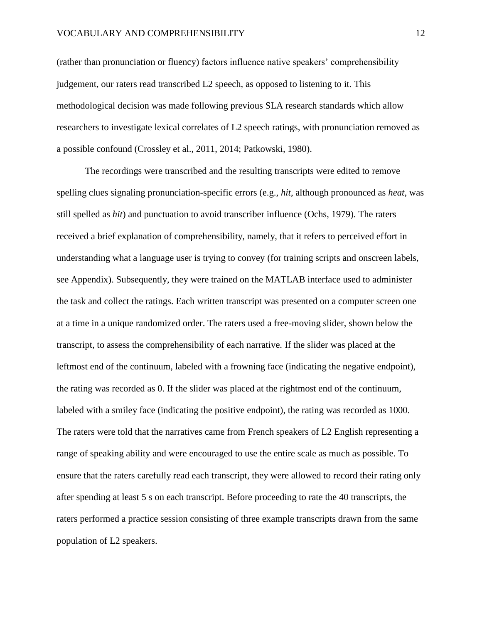(rather than pronunciation or fluency) factors influence native speakers' comprehensibility judgement, our raters read transcribed L2 speech, as opposed to listening to it. This methodological decision was made following previous SLA research standards which allow researchers to investigate lexical correlates of L2 speech ratings, with pronunciation removed as a possible confound (Crossley et al., 2011, 2014; Patkowski, 1980).

The recordings were transcribed and the resulting transcripts were edited to remove spelling clues signaling pronunciation-specific errors (e.g., *hit*, although pronounced as *heat*, was still spelled as *hit*) and punctuation to avoid transcriber influence (Ochs, 1979). The raters received a brief explanation of comprehensibility, namely, that it refers to perceived effort in understanding what a language user is trying to convey (for training scripts and onscreen labels, see Appendix). Subsequently, they were trained on the MATLAB interface used to administer the task and collect the ratings. Each written transcript was presented on a computer screen one at a time in a unique randomized order. The raters used a free-moving slider, shown below the transcript, to assess the comprehensibility of each narrative. If the slider was placed at the leftmost end of the continuum, labeled with a frowning face (indicating the negative endpoint), the rating was recorded as 0. If the slider was placed at the rightmost end of the continuum, labeled with a smiley face (indicating the positive endpoint), the rating was recorded as 1000. The raters were told that the narratives came from French speakers of L2 English representing a range of speaking ability and were encouraged to use the entire scale as much as possible. To ensure that the raters carefully read each transcript, they were allowed to record their rating only after spending at least 5 s on each transcript. Before proceeding to rate the 40 transcripts, the raters performed a practice session consisting of three example transcripts drawn from the same population of L2 speakers.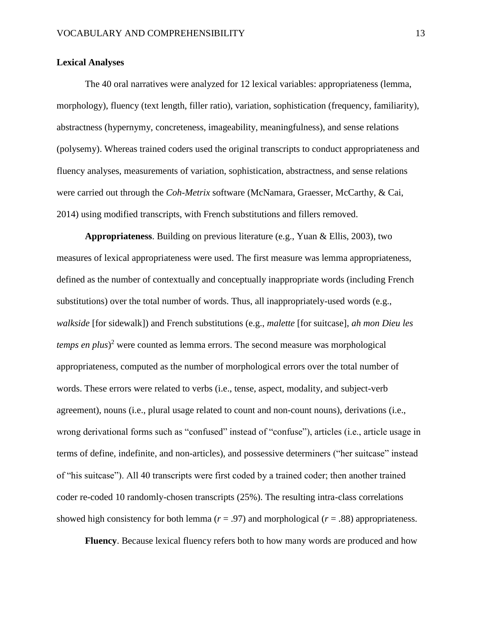## **Lexical Analyses**

The 40 oral narratives were analyzed for 12 lexical variables: appropriateness (lemma, morphology), fluency (text length, filler ratio), variation, sophistication (frequency, familiarity), abstractness (hypernymy, concreteness, imageability, meaningfulness), and sense relations (polysemy). Whereas trained coders used the original transcripts to conduct appropriateness and fluency analyses, measurements of variation, sophistication, abstractness, and sense relations were carried out through the *Coh-Metrix* software (McNamara, Graesser, McCarthy, & Cai, 2014) using modified transcripts, with French substitutions and fillers removed.

**Appropriateness**. Building on previous literature (e.g., Yuan & Ellis, 2003), two measures of lexical appropriateness were used. The first measure was lemma appropriateness, defined as the number of contextually and conceptually inappropriate words (including French substitutions) over the total number of words. Thus, all inappropriately-used words (e.g., *walkside* [for sidewalk]) and French substitutions (e.g., *malette* [for suitcase], *ah mon Dieu les temps en plus*) <sup>2</sup> were counted as lemma errors. The second measure was morphological appropriateness, computed as the number of morphological errors over the total number of words. These errors were related to verbs (i.e., tense, aspect, modality, and subject-verb agreement), nouns (i.e., plural usage related to count and non-count nouns), derivations (i.e., wrong derivational forms such as "confused" instead of "confuse"), articles (i.e., article usage in terms of define, indefinite, and non-articles), and possessive determiners ("her suitcase" instead of "his suitcase"). All 40 transcripts were first coded by a trained coder; then another trained coder re-coded 10 randomly-chosen transcripts (25%). The resulting intra-class correlations showed high consistency for both lemma ( $r = .97$ ) and morphological ( $r = .88$ ) appropriateness.

**Fluency**. Because lexical fluency refers both to how many words are produced and how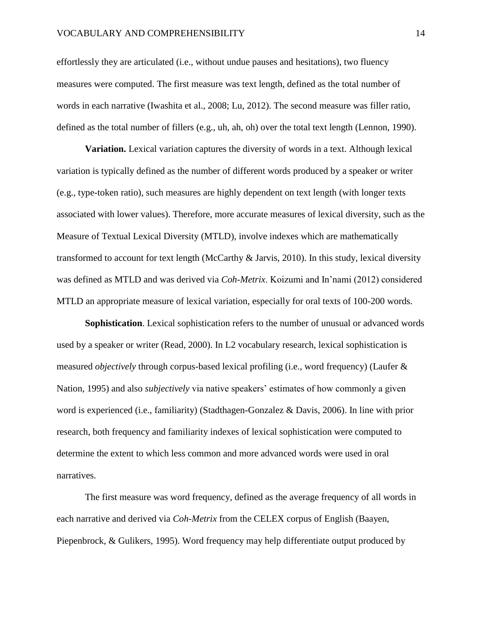effortlessly they are articulated (i.e., without undue pauses and hesitations), two fluency measures were computed. The first measure was text length, defined as the total number of words in each narrative (Iwashita et al., 2008; Lu, 2012). The second measure was filler ratio, defined as the total number of fillers (e.g., uh, ah, oh) over the total text length (Lennon, 1990).

**Variation.** Lexical variation captures the diversity of words in a text. Although lexical variation is typically defined as the number of different words produced by a speaker or writer (e.g., type-token ratio), such measures are highly dependent on text length (with longer texts associated with lower values). Therefore, more accurate measures of lexical diversity, such as the Measure of Textual Lexical Diversity (MTLD), involve indexes which are mathematically transformed to account for text length (McCarthy & Jarvis, 2010). In this study, lexical diversity was defined as MTLD and was derived via *Coh-Metrix*. Koizumi and In'nami (2012) considered MTLD an appropriate measure of lexical variation, especially for oral texts of 100-200 words.

**Sophistication**. Lexical sophistication refers to the number of unusual or advanced words used by a speaker or writer (Read, 2000). In L2 vocabulary research, lexical sophistication is measured *objectively* through corpus-based lexical profiling (i.e., word frequency) (Laufer & Nation, 1995) and also *subjectively* via native speakers' estimates of how commonly a given word is experienced (i.e., familiarity) (Stadthagen-Gonzalez & Davis, 2006). In line with prior research, both frequency and familiarity indexes of lexical sophistication were computed to determine the extent to which less common and more advanced words were used in oral narratives.

The first measure was word frequency, defined as the average frequency of all words in each narrative and derived via *Coh-Metrix* from the CELEX corpus of English (Baayen, Piepenbrock, & Gulikers, 1995). Word frequency may help differentiate output produced by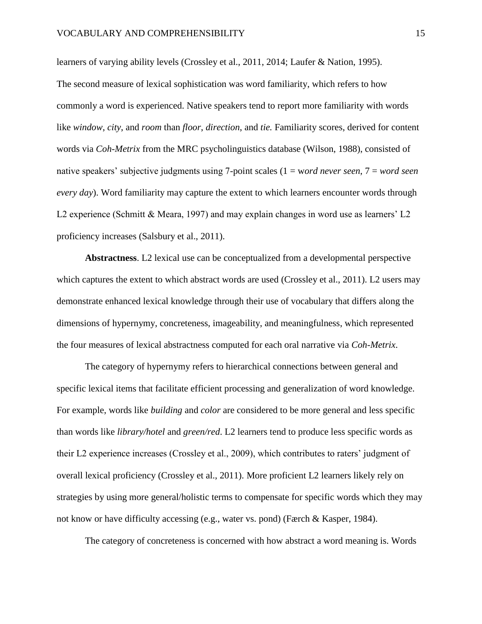learners of varying ability levels (Crossley et al., 2011, 2014; Laufer & Nation, 1995). The second measure of lexical sophistication was word familiarity, which refers to how commonly a word is experienced. Native speakers tend to report more familiarity with words like *window*, *city*, and *room* than *floor*, *direction*, and *tie.* Familiarity scores, derived for content words via *Coh-Metrix* from the MRC psycholinguistics database (Wilson, 1988), consisted of native speakers' subjective judgments using 7-point scales (1 = w*ord never seen*, 7 = *word seen every day*). Word familiarity may capture the extent to which learners encounter words through L2 experience (Schmitt & Meara, 1997) and may explain changes in word use as learners' L2 proficiency increases (Salsbury et al., 2011).

**Abstractness**. L2 lexical use can be conceptualized from a developmental perspective which captures the extent to which abstract words are used (Crossley et al., 2011). L2 users may demonstrate enhanced lexical knowledge through their use of vocabulary that differs along the dimensions of hypernymy, concreteness, imageability, and meaningfulness, which represented the four measures of lexical abstractness computed for each oral narrative via *Coh-Metrix*.

The category of hypernymy refers to hierarchical connections between general and specific lexical items that facilitate efficient processing and generalization of word knowledge. For example, words like *building* and *color* are considered to be more general and less specific than words like *library/hotel* and *green/red*. L2 learners tend to produce less specific words as their L2 experience increases (Crossley et al., 2009), which contributes to raters' judgment of overall lexical proficiency (Crossley et al., 2011). More proficient L2 learners likely rely on strategies by using more general/holistic terms to compensate for specific words which they may not know or have difficulty accessing (e.g., water vs. pond) (Færch & Kasper, 1984).

The category of concreteness is concerned with how abstract a word meaning is. Words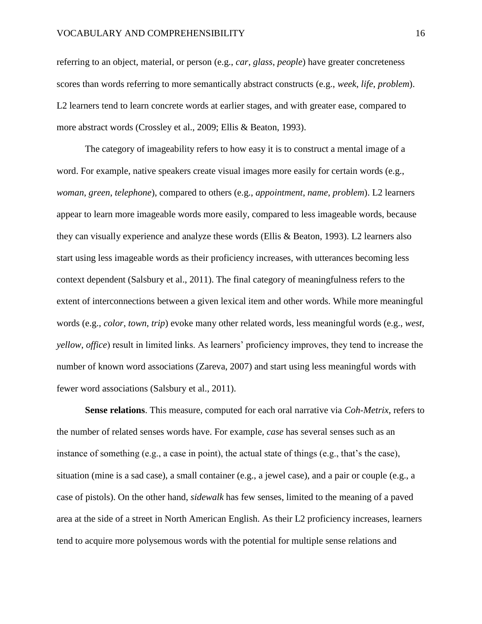referring to an object, material, or person (e.g., *car, glass*, *people*) have greater concreteness scores than words referring to more semantically abstract constructs (e.g., *week*, *life*, *problem*). L2 learners tend to learn concrete words at earlier stages, and with greater ease, compared to more abstract words (Crossley et al., 2009; Ellis & Beaton, 1993).

The category of imageability refers to how easy it is to construct a mental image of a word. For example, native speakers create visual images more easily for certain words (e.g., *woman*, *green*, *telephone*), compared to others (e.g., *appointment*, *name*, *problem*). L2 learners appear to learn more imageable words more easily, compared to less imageable words, because they can visually experience and analyze these words (Ellis & Beaton, 1993). L2 learners also start using less imageable words as their proficiency increases, with utterances becoming less context dependent (Salsbury et al., 2011). The final category of meaningfulness refers to the extent of interconnections between a given lexical item and other words. While more meaningful words (e.g., *color*, *town*, *trip*) evoke many other related words, less meaningful words (e.g., *west*, *yellow*, *office*) result in limited links. As learners' proficiency improves, they tend to increase the number of known word associations (Zareva, 2007) and start using less meaningful words with fewer word associations (Salsbury et al., 2011).

**Sense relations**. This measure, computed for each oral narrative via *Coh-Metrix*, refers to the number of related senses words have. For example, *case* has several senses such as an instance of something (e.g., a case in point), the actual state of things (e.g., that's the case), situation (mine is a sad case), a small container (e.g., a jewel case), and a pair or couple (e.g., a case of pistols). On the other hand, *sidewalk* has few senses, limited to the meaning of a paved area at the side of a street in North American English. As their L2 proficiency increases, learners tend to acquire more polysemous words with the potential for multiple sense relations and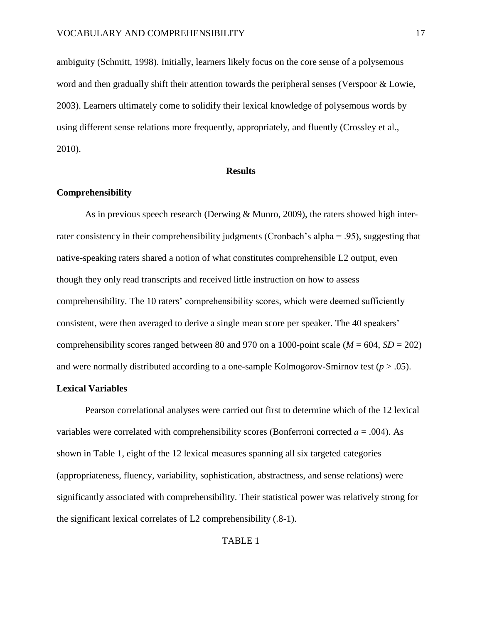ambiguity (Schmitt, 1998). Initially, learners likely focus on the core sense of a polysemous word and then gradually shift their attention towards the peripheral senses (Verspoor & Lowie, 2003). Learners ultimately come to solidify their lexical knowledge of polysemous words by using different sense relations more frequently, appropriately, and fluently (Crossley et al., 2010).

#### **Results**

### **Comprehensibility**

As in previous speech research (Derwing & Munro, 2009), the raters showed high interrater consistency in their comprehensibility judgments (Cronbach's alpha = .95), suggesting that native-speaking raters shared a notion of what constitutes comprehensible L2 output, even though they only read transcripts and received little instruction on how to assess comprehensibility. The 10 raters' comprehensibility scores, which were deemed sufficiently consistent, were then averaged to derive a single mean score per speaker. The 40 speakers' comprehensibility scores ranged between 80 and 970 on a 1000-point scale ( $M = 604$ ,  $SD = 202$ ) and were normally distributed according to a one-sample Kolmogorov-Smirnov test  $(p > .05)$ .

### **Lexical Variables**

Pearson correlational analyses were carried out first to determine which of the 12 lexical variables were correlated with comprehensibility scores (Bonferroni corrected *ɑ* = .004). As shown in Table 1, eight of the 12 lexical measures spanning all six targeted categories (appropriateness, fluency, variability, sophistication, abstractness, and sense relations) were significantly associated with comprehensibility. Their statistical power was relatively strong for the significant lexical correlates of L2 comprehensibility (.8-1).

### TABLE 1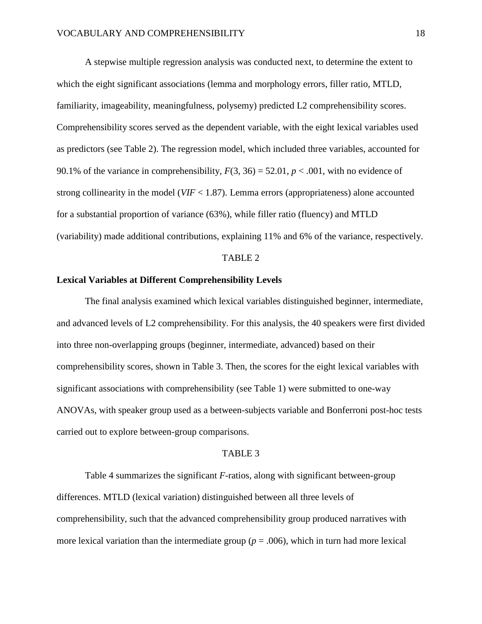A stepwise multiple regression analysis was conducted next, to determine the extent to which the eight significant associations (lemma and morphology errors, filler ratio, MTLD, familiarity, imageability, meaningfulness, polysemy) predicted L2 comprehensibility scores. Comprehensibility scores served as the dependent variable, with the eight lexical variables used as predictors (see Table 2). The regression model, which included three variables, accounted for 90.1% of the variance in comprehensibility,  $F(3, 36) = 52.01$ ,  $p < .001$ , with no evidence of strong collinearity in the model (*VIF* < 1.87). Lemma errors (appropriateness) alone accounted for a substantial proportion of variance (63%), while filler ratio (fluency) and MTLD (variability) made additional contributions, explaining 11% and 6% of the variance, respectively.

#### TABLE 2

## **Lexical Variables at Different Comprehensibility Levels**

The final analysis examined which lexical variables distinguished beginner, intermediate, and advanced levels of L2 comprehensibility. For this analysis, the 40 speakers were first divided into three non-overlapping groups (beginner, intermediate, advanced) based on their comprehensibility scores, shown in Table 3. Then, the scores for the eight lexical variables with significant associations with comprehensibility (see Table 1) were submitted to one-way ANOVAs, with speaker group used as a between-subjects variable and Bonferroni post-hoc tests carried out to explore between-group comparisons.

#### TABLE 3

Table 4 summarizes the significant *F*-ratios, along with significant between-group differences. MTLD (lexical variation) distinguished between all three levels of comprehensibility, such that the advanced comprehensibility group produced narratives with more lexical variation than the intermediate group  $(p = .006)$ , which in turn had more lexical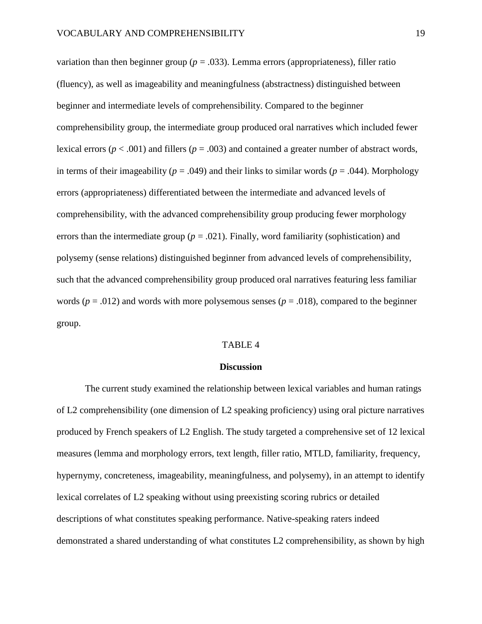variation than then beginner group ( $p = .033$ ). Lemma errors (appropriateness), filler ratio (fluency), as well as imageability and meaningfulness (abstractness) distinguished between beginner and intermediate levels of comprehensibility. Compared to the beginner comprehensibility group, the intermediate group produced oral narratives which included fewer lexical errors ( $p < .001$ ) and fillers ( $p = .003$ ) and contained a greater number of abstract words, in terms of their imageability ( $p = .049$ ) and their links to similar words ( $p = .044$ ). Morphology errors (appropriateness) differentiated between the intermediate and advanced levels of comprehensibility, with the advanced comprehensibility group producing fewer morphology errors than the intermediate group ( $p = .021$ ). Finally, word familiarity (sophistication) and polysemy (sense relations) distinguished beginner from advanced levels of comprehensibility, such that the advanced comprehensibility group produced oral narratives featuring less familiar words ( $p = .012$ ) and words with more polysemous senses ( $p = .018$ ), compared to the beginner group.

### TABLE 4

#### **Discussion**

The current study examined the relationship between lexical variables and human ratings of L2 comprehensibility (one dimension of L2 speaking proficiency) using oral picture narratives produced by French speakers of L2 English. The study targeted a comprehensive set of 12 lexical measures (lemma and morphology errors, text length, filler ratio, MTLD, familiarity, frequency, hypernymy, concreteness, imageability, meaningfulness, and polysemy), in an attempt to identify lexical correlates of L2 speaking without using preexisting scoring rubrics or detailed descriptions of what constitutes speaking performance. Native-speaking raters indeed demonstrated a shared understanding of what constitutes L2 comprehensibility, as shown by high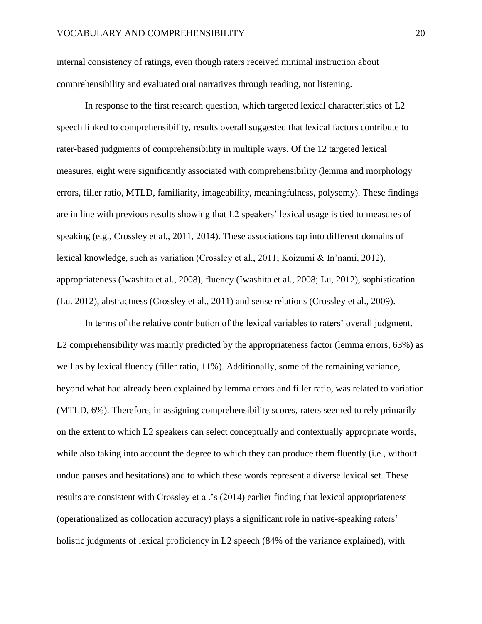internal consistency of ratings, even though raters received minimal instruction about comprehensibility and evaluated oral narratives through reading, not listening.

In response to the first research question, which targeted lexical characteristics of L2 speech linked to comprehensibility, results overall suggested that lexical factors contribute to rater-based judgments of comprehensibility in multiple ways. Of the 12 targeted lexical measures, eight were significantly associated with comprehensibility (lemma and morphology errors, filler ratio, MTLD, familiarity, imageability, meaningfulness, polysemy). These findings are in line with previous results showing that L2 speakers' lexical usage is tied to measures of speaking (e.g., Crossley et al., 2011, 2014). These associations tap into different domains of lexical knowledge, such as variation (Crossley et al., 2011; Koizumi & In'nami, 2012), appropriateness (Iwashita et al., 2008), fluency (Iwashita et al., 2008; Lu, 2012), sophistication (Lu. 2012), abstractness (Crossley et al., 2011) and sense relations (Crossley et al., 2009).

In terms of the relative contribution of the lexical variables to raters' overall judgment, L2 comprehensibility was mainly predicted by the appropriateness factor (lemma errors, 63%) as well as by lexical fluency (filler ratio, 11%). Additionally, some of the remaining variance, beyond what had already been explained by lemma errors and filler ratio, was related to variation (MTLD, 6%). Therefore, in assigning comprehensibility scores, raters seemed to rely primarily on the extent to which L2 speakers can select conceptually and contextually appropriate words, while also taking into account the degree to which they can produce them fluently (i.e., without undue pauses and hesitations) and to which these words represent a diverse lexical set. These results are consistent with Crossley et al.'s (2014) earlier finding that lexical appropriateness (operationalized as collocation accuracy) plays a significant role in native-speaking raters' holistic judgments of lexical proficiency in L2 speech (84% of the variance explained), with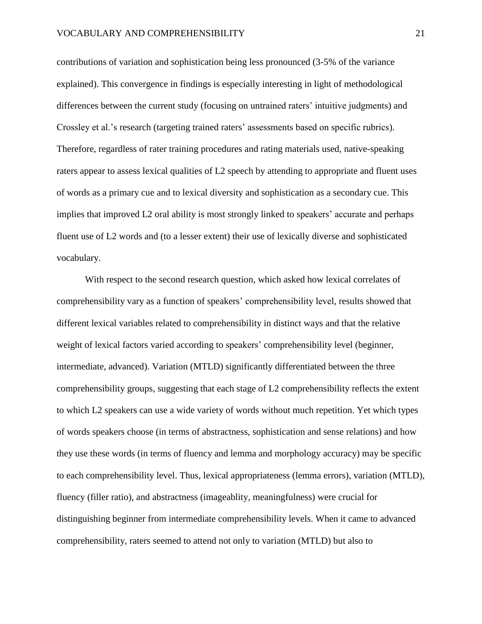contributions of variation and sophistication being less pronounced (3-5% of the variance explained). This convergence in findings is especially interesting in light of methodological differences between the current study (focusing on untrained raters' intuitive judgments) and Crossley et al.'s research (targeting trained raters' assessments based on specific rubrics). Therefore, regardless of rater training procedures and rating materials used, native-speaking raters appear to assess lexical qualities of L2 speech by attending to appropriate and fluent uses of words as a primary cue and to lexical diversity and sophistication as a secondary cue. This implies that improved L2 oral ability is most strongly linked to speakers' accurate and perhaps fluent use of L2 words and (to a lesser extent) their use of lexically diverse and sophisticated vocabulary.

With respect to the second research question, which asked how lexical correlates of comprehensibility vary as a function of speakers' comprehensibility level, results showed that different lexical variables related to comprehensibility in distinct ways and that the relative weight of lexical factors varied according to speakers' comprehensibility level (beginner, intermediate, advanced). Variation (MTLD) significantly differentiated between the three comprehensibility groups, suggesting that each stage of L2 comprehensibility reflects the extent to which L2 speakers can use a wide variety of words without much repetition. Yet which types of words speakers choose (in terms of abstractness, sophistication and sense relations) and how they use these words (in terms of fluency and lemma and morphology accuracy) may be specific to each comprehensibility level. Thus, lexical appropriateness (lemma errors), variation (MTLD), fluency (filler ratio), and abstractness (imageablity, meaningfulness) were crucial for distinguishing beginner from intermediate comprehensibility levels. When it came to advanced comprehensibility, raters seemed to attend not only to variation (MTLD) but also to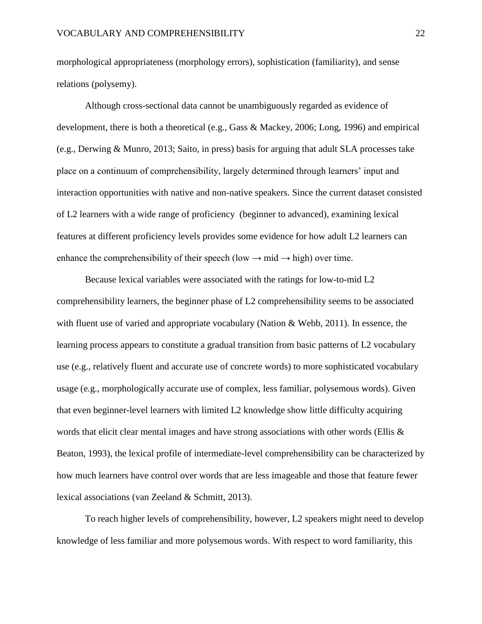morphological appropriateness (morphology errors), sophistication (familiarity), and sense relations (polysemy).

Although cross-sectional data cannot be unambiguously regarded as evidence of development, there is both a theoretical (e.g., Gass & Mackey, 2006; Long, 1996) and empirical (e.g., Derwing & Munro, 2013; Saito, in press) basis for arguing that adult SLA processes take place on a continuum of comprehensibility, largely determined through learners' input and interaction opportunities with native and non-native speakers. Since the current dataset consisted of L2 learners with a wide range of proficiency (beginner to advanced), examining lexical features at different proficiency levels provides some evidence for how adult L2 learners can enhance the comprehensibility of their speech (low  $\rightarrow$  mid  $\rightarrow$  high) over time.

Because lexical variables were associated with the ratings for low-to-mid L2 comprehensibility learners, the beginner phase of L2 comprehensibility seems to be associated with fluent use of varied and appropriate vocabulary (Nation & Webb, 2011). In essence, the learning process appears to constitute a gradual transition from basic patterns of L2 vocabulary use (e.g., relatively fluent and accurate use of concrete words) to more sophisticated vocabulary usage (e.g., morphologically accurate use of complex, less familiar, polysemous words). Given that even beginner-level learners with limited L2 knowledge show little difficulty acquiring words that elicit clear mental images and have strong associations with other words (Ellis & Beaton, 1993), the lexical profile of intermediate-level comprehensibility can be characterized by how much learners have control over words that are less imageable and those that feature fewer lexical associations (van Zeeland & Schmitt, 2013).

To reach higher levels of comprehensibility, however, L2 speakers might need to develop knowledge of less familiar and more polysemous words. With respect to word familiarity, this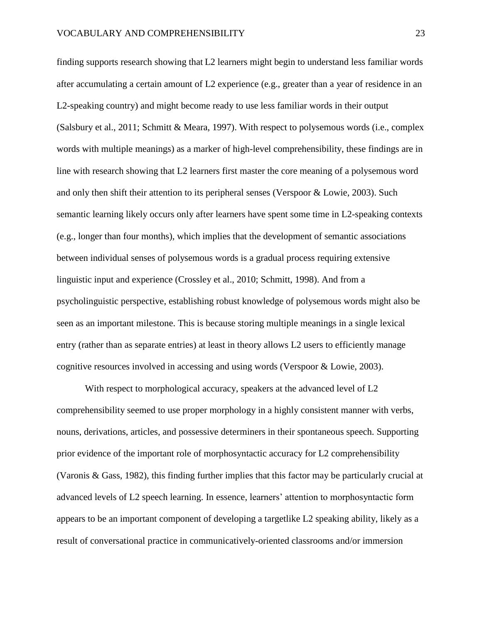finding supports research showing that L2 learners might begin to understand less familiar words after accumulating a certain amount of L2 experience (e.g., greater than a year of residence in an L2-speaking country) and might become ready to use less familiar words in their output (Salsbury et al., 2011; Schmitt & Meara, 1997). With respect to polysemous words (i.e., complex words with multiple meanings) as a marker of high-level comprehensibility, these findings are in line with research showing that L2 learners first master the core meaning of a polysemous word and only then shift their attention to its peripheral senses (Verspoor & Lowie, 2003). Such semantic learning likely occurs only after learners have spent some time in L2-speaking contexts (e.g., longer than four months), which implies that the development of semantic associations between individual senses of polysemous words is a gradual process requiring extensive linguistic input and experience (Crossley et al., 2010; Schmitt, 1998). And from a psycholinguistic perspective, establishing robust knowledge of polysemous words might also be seen as an important milestone. This is because storing multiple meanings in a single lexical entry (rather than as separate entries) at least in theory allows L2 users to efficiently manage cognitive resources involved in accessing and using words (Verspoor & Lowie, 2003).

With respect to morphological accuracy, speakers at the advanced level of L2 comprehensibility seemed to use proper morphology in a highly consistent manner with verbs, nouns, derivations, articles, and possessive determiners in their spontaneous speech. Supporting prior evidence of the important role of morphosyntactic accuracy for L2 comprehensibility (Varonis & Gass, 1982), this finding further implies that this factor may be particularly crucial at advanced levels of L2 speech learning. In essence, learners' attention to morphosyntactic form appears to be an important component of developing a targetlike L2 speaking ability, likely as a result of conversational practice in communicatively-oriented classrooms and/or immersion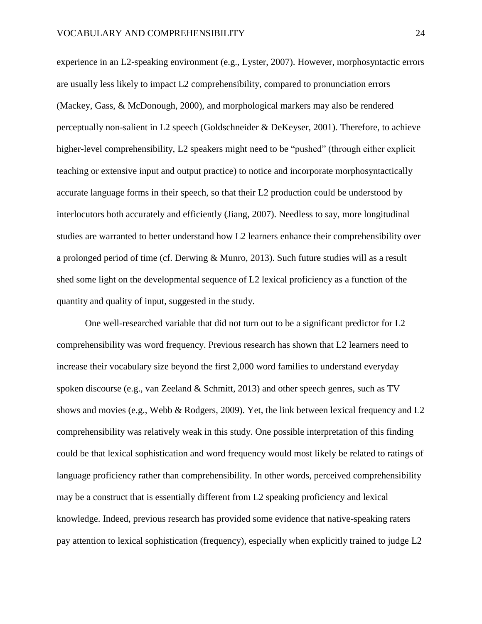experience in an L2-speaking environment (e.g., Lyster, 2007). However, morphosyntactic errors are usually less likely to impact L2 comprehensibility, compared to pronunciation errors (Mackey, Gass, & McDonough, 2000), and morphological markers may also be rendered perceptually non-salient in L2 speech (Goldschneider & DeKeyser, 2001). Therefore, to achieve higher-level comprehensibility, L2 speakers might need to be "pushed" (through either explicit teaching or extensive input and output practice) to notice and incorporate morphosyntactically accurate language forms in their speech, so that their L2 production could be understood by interlocutors both accurately and efficiently (Jiang, 2007). Needless to say, more longitudinal studies are warranted to better understand how L2 learners enhance their comprehensibility over a prolonged period of time (cf. Derwing & Munro, 2013). Such future studies will as a result shed some light on the developmental sequence of L2 lexical proficiency as a function of the quantity and quality of input, suggested in the study.

One well-researched variable that did not turn out to be a significant predictor for L2 comprehensibility was word frequency. Previous research has shown that L2 learners need to increase their vocabulary size beyond the first 2,000 word families to understand everyday spoken discourse (e.g., van Zeeland & Schmitt, 2013) and other speech genres, such as TV shows and movies (e.g., Webb & Rodgers, 2009). Yet, the link between lexical frequency and L2 comprehensibility was relatively weak in this study. One possible interpretation of this finding could be that lexical sophistication and word frequency would most likely be related to ratings of language proficiency rather than comprehensibility. In other words, perceived comprehensibility may be a construct that is essentially different from L2 speaking proficiency and lexical knowledge. Indeed, previous research has provided some evidence that native-speaking raters pay attention to lexical sophistication (frequency), especially when explicitly trained to judge L2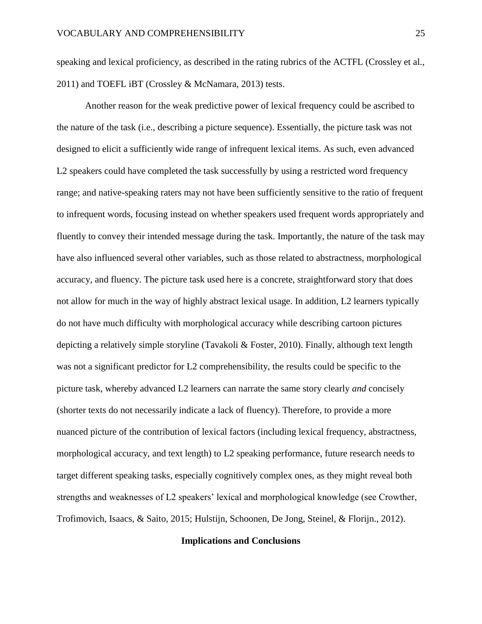speaking and lexical proficiency, as described in the rating rubrics of the ACTFL (Crossley et al., 2011) and TOEFL iBT (Crossley & McNamara, 2013) tests.

Another reason for the weak predictive power of lexical frequency could be ascribed to the nature of the task (i.e., describing a picture sequence). Essentially, the picture task was not designed to elicit a sufficiently wide range of infrequent lexical items. As such, even advanced L2 speakers could have completed the task successfully by using a restricted word frequency range; and native-speaking raters may not have been sufficiently sensitive to the ratio of frequent to infrequent words, focusing instead on whether speakers used frequent words appropriately and fluently to convey their intended message during the task. Importantly, the nature of the task may have also influenced several other variables, such as those related to abstractness, morphological accuracy, and fluency. The picture task used here is a concrete, straightforward story that does not allow for much in the way of highly abstract lexical usage. In addition, L2 learners typically do not have much difficulty with morphological accuracy while describing cartoon pictures depicting a relatively simple storyline (Tavakoli & Foster, 2010). Finally, although text length was not a significant predictor for L2 comprehensibility, the results could be specific to the picture task, whereby advanced L2 learners can narrate the same story clearly *and* concisely (shorter texts do not necessarily indicate a lack of fluency). Therefore, to provide a more nuanced picture of the contribution of lexical factors (including lexical frequency, abstractness, morphological accuracy, and text length) to L2 speaking performance, future research needs to target different speaking tasks, especially cognitively complex ones, as they might reveal both strengths and weaknesses of L2 speakers' lexical and morphological knowledge (see Crowther, Trofimovich, Isaacs, & Saito, 2015; Hulstijn, Schoonen, De Jong, Steinel, & Florijn., 2012).

#### **Implications and Conclusions**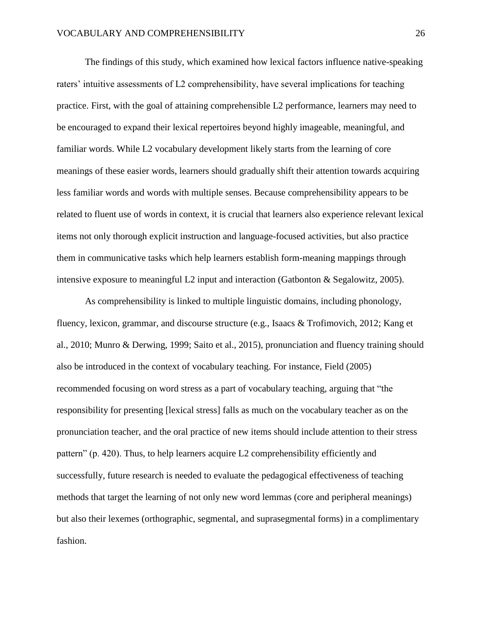The findings of this study, which examined how lexical factors influence native-speaking raters' intuitive assessments of L2 comprehensibility, have several implications for teaching practice. First, with the goal of attaining comprehensible L2 performance, learners may need to be encouraged to expand their lexical repertoires beyond highly imageable, meaningful, and familiar words. While L2 vocabulary development likely starts from the learning of core meanings of these easier words, learners should gradually shift their attention towards acquiring less familiar words and words with multiple senses. Because comprehensibility appears to be related to fluent use of words in context, it is crucial that learners also experience relevant lexical items not only thorough explicit instruction and language-focused activities, but also practice them in communicative tasks which help learners establish form-meaning mappings through intensive exposure to meaningful L2 input and interaction (Gatbonton & Segalowitz, 2005).

As comprehensibility is linked to multiple linguistic domains, including phonology, fluency, lexicon, grammar, and discourse structure (e.g., Isaacs & Trofimovich, 2012; Kang et al., 2010; Munro & Derwing, 1999; Saito et al., 2015), pronunciation and fluency training should also be introduced in the context of vocabulary teaching. For instance, Field (2005) recommended focusing on word stress as a part of vocabulary teaching, arguing that "the responsibility for presenting [lexical stress] falls as much on the vocabulary teacher as on the pronunciation teacher, and the oral practice of new items should include attention to their stress pattern" (p. 420). Thus, to help learners acquire L2 comprehensibility efficiently and successfully, future research is needed to evaluate the pedagogical effectiveness of teaching methods that target the learning of not only new word lemmas (core and peripheral meanings) but also their lexemes (orthographic, segmental, and suprasegmental forms) in a complimentary fashion.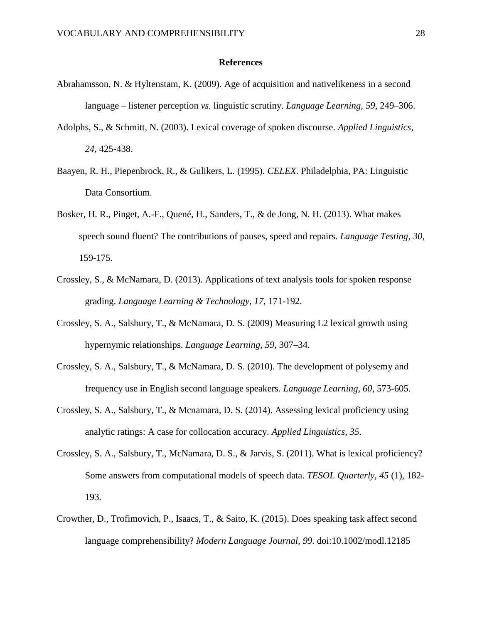### **References**

- Abrahamsson, N. & Hyltenstam, K. (2009). Age of acquisition and nativelikeness in a second language – listener perception *vs.* linguistic scrutiny. *Language Learning, 59*, 249–306.
- Adolphs, S., & Schmitt, N. (2003). Lexical coverage of spoken discourse. *Applied Linguistics, 24*, 425-438.
- Baayen, R. H., Piepenbrock, R., & Gulikers, L. (1995). *CELEX*. Philadelphia, PA: Linguistic Data Consortium.
- Bosker, H. R., Pinget, A.-F., Quené, H., Sanders, T., & de Jong, N. H. (2013). What makes speech sound fluent? The contributions of pauses, speed and repairs. *Language Testing, 30,*  159-175.
- Crossley, S., & McNamara, D. (2013). Applications of text analysis tools for spoken response grading. *Language Learning & Technology*, *17*, 171-192.
- Crossley, S. A., Salsbury, T., & McNamara, D. S. (2009) Measuring L2 lexical growth using hypernymic relationships. *Language Learning, 59,* 307–34.
- Crossley, S. A., Salsbury, T., & McNamara, D. S. (2010). The development of polysemy and frequency use in English second language speakers. *Language Learning, 60*, 573-605.
- Crossley, S. A., Salsbury, T., & Mcnamara, D. S. (2014). Assessing lexical proficiency using analytic ratings: A case for collocation accuracy. *Applied Linguistics*, *35*.
- Crossley, S. A., Salsbury, T., McNamara, D. S., & Jarvis, S. (2011). What is lexical proficiency? Some answers from computational models of speech data. *TESOL Quarterly, 45* (1), 182- 193.
- Crowther, D., Trofimovich, P., Isaacs, T., & Saito, K. (2015). Does speaking task affect second language comprehensibility? *Modern Language Journal*, *99*. doi:10.1002/modl.12185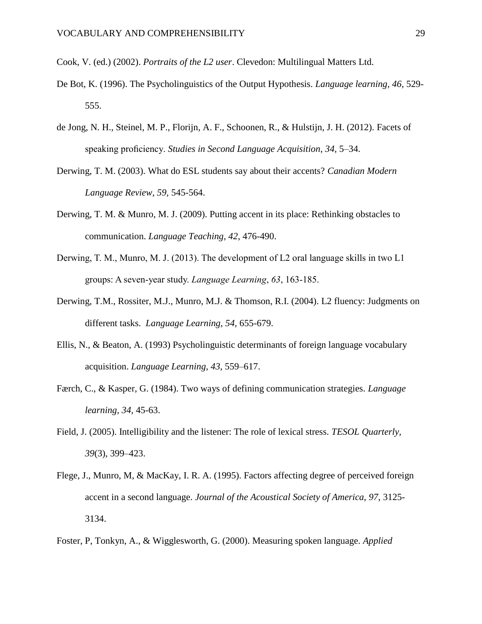Cook, V. (ed.) (2002). *Portraits of the L2 user*. Clevedon: Multilingual Matters Ltd.

- De Bot, K. (1996). The Psycholinguistics of the Output Hypothesis. *Language learning, 46*, 529- 555.
- de Jong, N. H., Steinel, M. P., Florijn, A. F., Schoonen, R., & Hulstijn, J. H. (2012). Facets of speaking proficiency. *Studies in Second Language Acquisition*, *34*, 5–34.
- Derwing, T. M. (2003). What do ESL students say about their accents? *Canadian Modern Language Review, 59,* 545-564.
- Derwing, T. M. & Munro, M. J. (2009). Putting accent in its place: Rethinking obstacles to communication. *Language Teaching, 42*, 476-490.
- Derwing, T. M., Munro, M. J. (2013). The development of L2 oral language skills in two L1 groups: A seven-year study. *Language Learning*, *63*, 163-185.
- Derwing, T.M., Rossiter, M.J., Munro, M.J. & Thomson, R.I. (2004). L2 fluency: Judgments on different tasks. *Language Learning, 54,* 655-679.
- Ellis, N., & Beaton, A. (1993) Psycholinguistic determinants of foreign language vocabulary acquisition. *Language Learning, 43*, 559–617.
- Færch, C., & Kasper, G. (1984). Two ways of defining communication strategies. *Language learning*, *34*, 45-63.
- Field, J. (2005). Intelligibility and the listener: The role of lexical stress. *TESOL Quarterly, 39*(3), 399–423.
- Flege, J., Munro, M, & MacKay, I. R. A. (1995). Factors affecting degree of perceived foreign accent in a second language. *Journal of the Acoustical Society of America, 97*, 3125- 3134.
- Foster, P, Tonkyn, A., & Wigglesworth, G. (2000). Measuring spoken language. *Applied*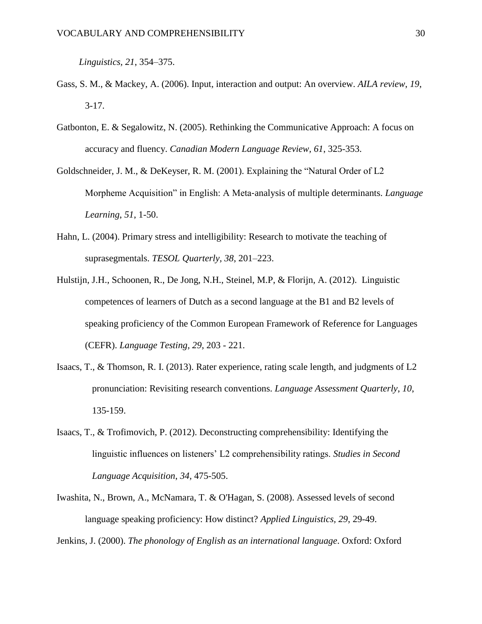*Linguistics, 21*, 354–375.

- Gass, S. M., & Mackey, A. (2006). Input, interaction and output: An overview. *AILA review*, *19*, 3-17.
- Gatbonton, E. & Segalowitz, N. (2005). Rethinking the Communicative Approach: A focus on accuracy and fluency. *Canadian Modern Language Review, 61*, 325-353.
- Goldschneider, J. M., & DeKeyser, R. M. (2001). Explaining the "Natural Order of L2 Morpheme Acquisition" in English: A Meta‐analysis of multiple determinants. *Language Learning*, *51*, 1-50.
- Hahn, L. (2004). Primary stress and intelligibility: Research to motivate the teaching of suprasegmentals. *TESOL Quarterly, 38*, 201–223.
- Hulstijn, J.H., Schoonen, R., De Jong, N.H., Steinel, M.P, & Florijn, A. (2012). Linguistic competences of learners of Dutch as a second language at the B1 and B2 levels of speaking proficiency of the Common European Framework of Reference for Languages (CEFR). *Language Testing, 29*, 203 - 221.
- Isaacs, T., & Thomson, R. I. (2013). Rater experience, rating scale length, and judgments of L2 pronunciation: Revisiting research conventions. *Language Assessment Quarterly*, *10*, 135-159.
- Isaacs, T., & Trofimovich, P. (2012). Deconstructing comprehensibility: Identifying the linguistic influences on listeners' L2 comprehensibility ratings. *Studies in Second Language Acquisition*, *34,* 475-505.
- Iwashita, N., Brown, A., McNamara, T. & O'Hagan, S. (2008). Assessed levels of second language speaking proficiency: How distinct? *Applied Linguistics, 29*, 29-49.

Jenkins, J. (2000). *The phonology of English as an international language*. Oxford: Oxford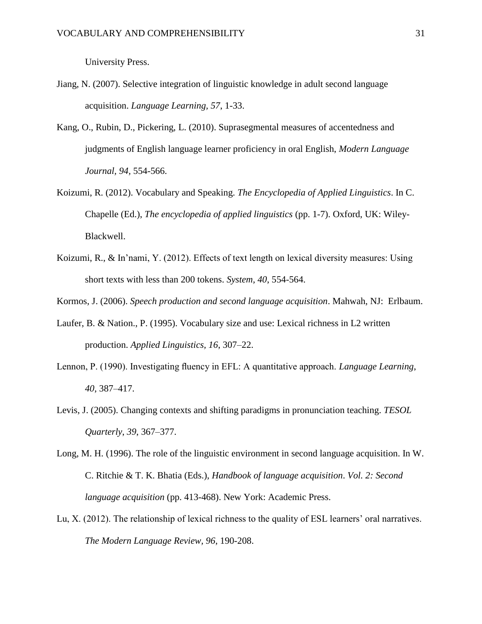University Press.

- Jiang, N. (2007). Selective integration of linguistic knowledge in adult second language acquisition. *Language Learning, 57*, 1-33.
- Kang, O., Rubin, D., Pickering, L. (2010). Suprasegmental measures of accentedness and judgments of English language learner proficiency in oral English, *Modern Language Journal, 94,* 554-566.
- Koizumi, R. (2012). Vocabulary and Speaking. *The Encyclopedia of Applied Linguistics*. In C. Chapelle (Ed.), *The encyclopedia of applied linguistics* (pp. 1-7). Oxford, UK: Wiley-Blackwell.
- Koizumi, R., & In'nami, Y. (2012). Effects of text length on lexical diversity measures: Using short texts with less than 200 tokens. *System, 40*, 554-564.
- Kormos, J. (2006). *Speech production and second language acquisition*. Mahwah, NJ: Erlbaum.
- Laufer, B. & Nation., P. (1995). Vocabulary size and use: Lexical richness in L2 written production. *Applied Linguistics, 16*, 307–22.
- Lennon, P. (1990). Investigating fluency in EFL: A quantitative approach. *Language Learning*, *40*, 387–417.
- Levis, J. (2005). Changing contexts and shifting paradigms in pronunciation teaching. *TESOL Quarterly*, *39*, 367–377.
- Long, M. H. (1996). The role of the linguistic environment in second language acquisition. In W. C. Ritchie & T. K. Bhatia (Eds.), *Handbook of language acquisition*. *Vol. 2: Second language acquisition* (pp. 413-468). New York: Academic Press.
- Lu, X. (2012). The relationship of lexical richness to the quality of ESL learners' oral narratives. *The Modern Language Review, 96*, 190-208.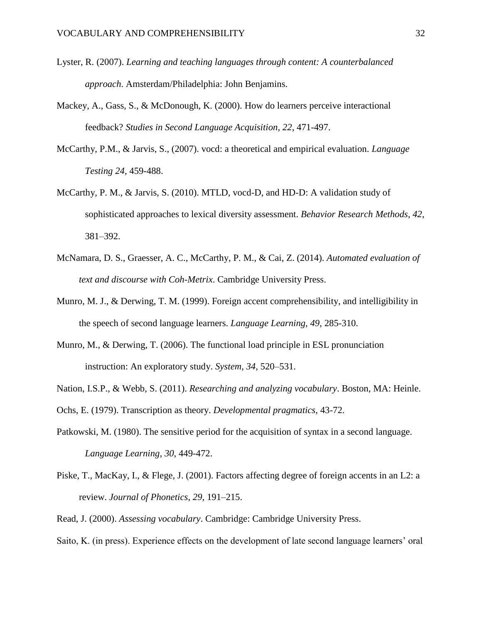- Lyster, R. (2007). *Learning and teaching languages through content: A counterbalanced approach*. Amsterdam/Philadelphia: John Benjamins.
- Mackey, A., Gass, S., & McDonough, K. (2000). How do learners perceive interactional feedback? *Studies in Second Language Acquisition, 22*, 471-497.
- McCarthy, P.M., & Jarvis, S., (2007). vocd: a theoretical and empirical evaluation. *Language Testing 24*, 459-488.
- McCarthy, P. M., & Jarvis, S. (2010). MTLD, vocd-D, and HD-D: A validation study of sophisticated approaches to lexical diversity assessment. *Behavior Research Methods, 42*, 381–392.
- McNamara, D. S., Graesser, A. C., McCarthy, P. M., & Cai, Z. (2014). *Automated evaluation of text and discourse with Coh-Metrix*. Cambridge University Press.
- Munro, M. J., & Derwing, T. M. (1999). Foreign accent comprehensibility, and intelligibility in the speech of second language learners. *Language Learning, 49*, 285-310.
- Munro, M., & Derwing, T. (2006). The functional load principle in ESL pronunciation instruction: An exploratory study. *System, 34*, 520–531.
- Nation, I.S.P., & Webb, S. (2011). *Researching and analyzing vocabulary*. Boston, MA: Heinle.
- Ochs, E. (1979). Transcription as theory. *Developmental pragmatics*, 43-72.
- Patkowski, M. (1980). The sensitive period for the acquisition of syntax in a second language. *Language Learning, 30*, 449-472.
- Piske, T., MacKay, I., & Flege, J. (2001). Factors affecting degree of foreign accents in an L2: a review. *Journal of Phonetics*, *29*, 191–215.
- Read, J. (2000). *Assessing vocabulary*. Cambridge: Cambridge University Press.

Saito, K. (in press). Experience effects on the development of late second language learners' oral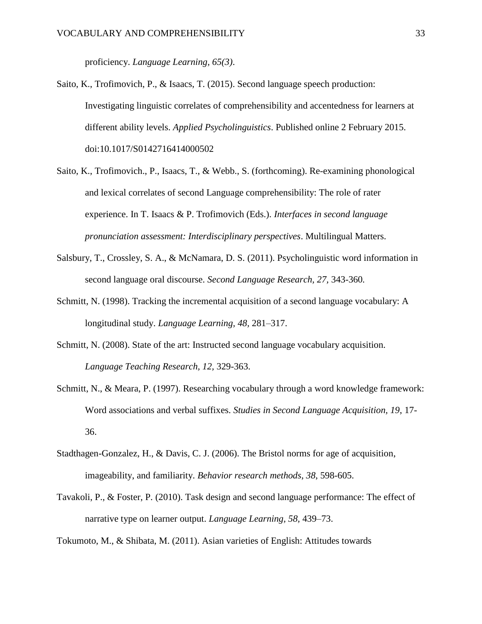proficiency. *Language Learning, 65(3)*.

- Saito, K., Trofimovich, P., & Isaacs, T. (2015). Second language speech production: Investigating linguistic correlates of comprehensibility and accentedness for learners at different ability levels. *Applied Psycholinguistics*. Published online 2 February 2015. doi:10.1017/S0142716414000502
- Saito, K., Trofimovich., P., Isaacs, T., & Webb., S. (forthcoming). Re-examining phonological and lexical correlates of second Language comprehensibility: The role of rater experience. In T. Isaacs & P. Trofimovich (Eds.). *Interfaces in second language pronunciation assessment: Interdisciplinary perspectives*. Multilingual Matters.
- Salsbury, T., Crossley, S. A., & McNamara, D. S. (2011). Psycholinguistic word information in second language oral discourse. *Second Language Research, 27,* 343-360*.*
- Schmitt, N. (1998). Tracking the incremental acquisition of a second language vocabulary: A longitudinal study. *Language Learning, 48,* 281–317.
- Schmitt, N. (2008). State of the art: Instructed second language vocabulary acquisition. *Language Teaching Research, 12,* 329-363.
- Schmitt, N., & Meara, P. (1997). Researching vocabulary through a word knowledge framework: Word associations and verbal suffixes. *Studies in Second Language Acquisition, 19*, 17- 36.
- Stadthagen-Gonzalez, H., & Davis, C. J. (2006). The Bristol norms for age of acquisition, imageability, and familiarity. *Behavior research methods*, *38*, 598-605.
- Tavakoli, P., & Foster, P. (2010). Task design and second language performance: The effect of narrative type on learner output. *Language Learning, 58,* 439–73.

Tokumoto, M., & Shibata, M. (2011). Asian varieties of English: Attitudes towards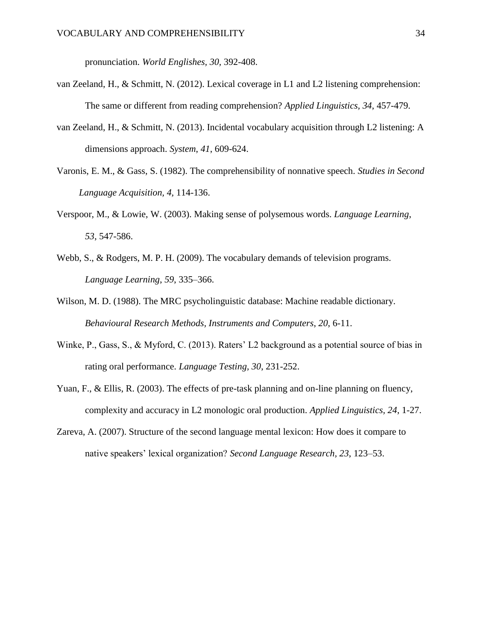pronunciation. *World Englishes, 30,* 392-408.

- van Zeeland, H., & Schmitt, N. (2012). Lexical coverage in L1 and L2 listening comprehension: The same or different from reading comprehension? *Applied Linguistics, 34*, 457-479.
- van Zeeland, H., & Schmitt, N. (2013). Incidental vocabulary acquisition through L2 listening: A dimensions approach. *System*, *41*, 609-624.
- Varonis, E. M., & Gass, S. (1982). The comprehensibility of nonnative speech. *Studies in Second Language Acquisition, 4,* 114-136.
- Verspoor, M., & Lowie, W. (2003). Making sense of polysemous words. *Language Learning*, *53*, 547-586.
- Webb, S., & Rodgers, M. P. H. (2009). The vocabulary demands of television programs. *Language Learning*, *59*, 335–366.
- Wilson, M. D. (1988). The MRC psycholinguistic database: Machine readable dictionary. *Behavioural Research Methods, Instruments and Computers*, *20*, 6-11.
- Winke, P., Gass, S., & Myford, C. (2013). Raters' L2 background as a potential source of bias in rating oral performance. *Language Testing, 30*, 231-252.
- Yuan, F., & Ellis, R. (2003). The effects of pre-task planning and on-line planning on fluency, complexity and accuracy in L2 monologic oral production. *Applied Linguistics, 24*, 1-27.
- Zareva, A. (2007). Structure of the second language mental lexicon: How does it compare to native speakers' lexical organization? *Second Language Research, 23*, 123–53.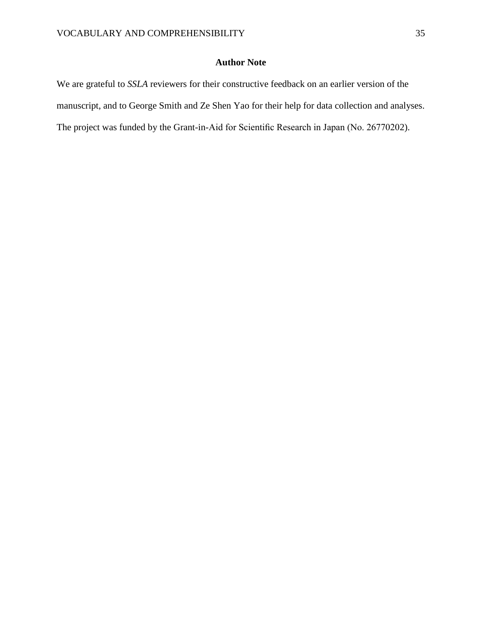## **Author Note**

We are grateful to *SSLA* reviewers for their constructive feedback on an earlier version of the manuscript, and to George Smith and Ze Shen Yao for their help for data collection and analyses. The project was funded by the Grant-in-Aid for Scientific Research in Japan (No. 26770202).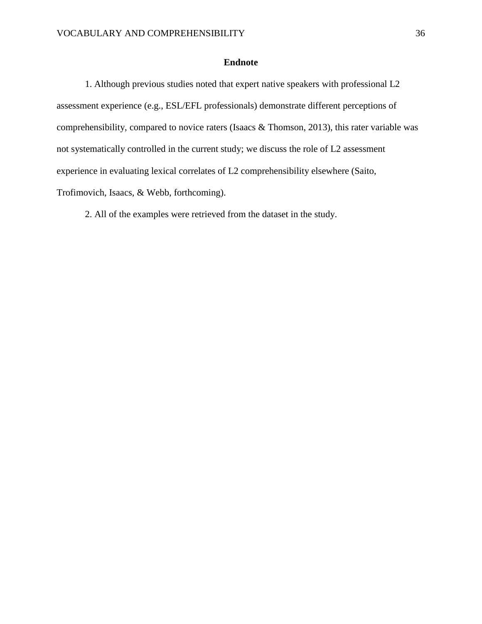## **Endnote**

1. Although previous studies noted that expert native speakers with professional L2 assessment experience (e.g., ESL/EFL professionals) demonstrate different perceptions of comprehensibility, compared to novice raters (Isaacs & Thomson, 2013), this rater variable was not systematically controlled in the current study; we discuss the role of L2 assessment experience in evaluating lexical correlates of L2 comprehensibility elsewhere (Saito, Trofimovich, Isaacs, & Webb, forthcoming).

2. All of the examples were retrieved from the dataset in the study.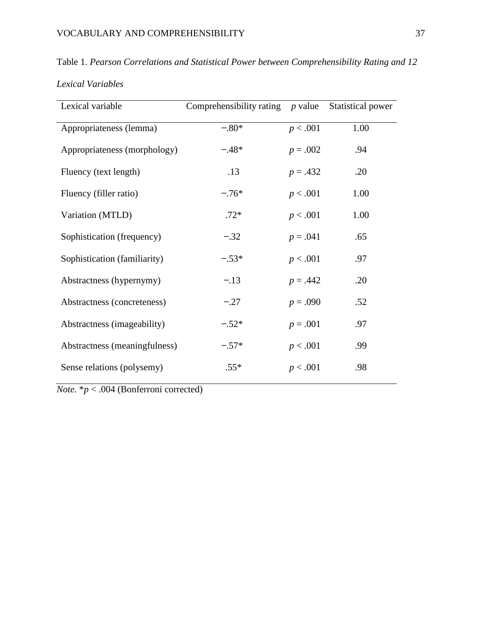Table 1. *Pearson Correlations and Statistical Power between Comprehensibility Rating and 12 Lexical Variables*

| Lexical variable              | Comprehensibility rating $p$ value |            | Statistical power |
|-------------------------------|------------------------------------|------------|-------------------|
| Appropriateness (lemma)       | $-.80*$                            | p < .001   | 1.00              |
| Appropriateness (morphology)  | $-.48*$                            | $p = .002$ | .94               |
| Fluency (text length)         | .13                                | $p = .432$ | .20               |
| Fluency (filler ratio)        | $-.76*$                            | p < .001   | 1.00              |
| Variation (MTLD)              | $.72*$                             | p < .001   | 1.00              |
| Sophistication (frequency)    | $-.32$                             | $p = .041$ | .65               |
| Sophistication (familiarity)  | $-.53*$                            | p < .001   | .97               |
| Abstractness (hypernymy)      | $-.13$                             | $p = .442$ | .20               |
| Abstractness (concreteness)   | $-.27$                             | $p = .090$ | .52               |
| Abstractness (imageability)   | $-.52*$                            | $p = .001$ | .97               |
| Abstractness (meaningfulness) | $-.57*$                            | p < .001   | .99               |
| Sense relations (polysemy)    | $.55*$                             | p < .001   | .98               |

*Note.* \**p* < .004 (Bonferroni corrected)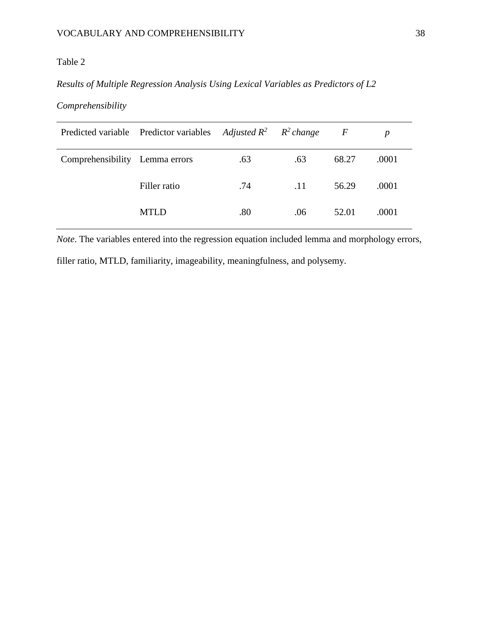## Table 2

## *Results of Multiple Regression Analysis Using Lexical Variables as Predictors of L2*

## *Comprehensibility*

|                                | Predicted variable Predictor variables Adjusted $R^2$ $R^2$ change |     |     | $\boldsymbol{F}$ |       |
|--------------------------------|--------------------------------------------------------------------|-----|-----|------------------|-------|
| Comprehensibility Lemma errors |                                                                    | .63 | .63 | 68.27            | .0001 |
|                                | Filler ratio                                                       | .74 | .11 | 56.29            | .0001 |
|                                | <b>MTLD</b>                                                        | .80 | .06 | 52.01            | .0001 |

*Note*. The variables entered into the regression equation included lemma and morphology errors,

filler ratio, MTLD, familiarity, imageability, meaningfulness, and polysemy.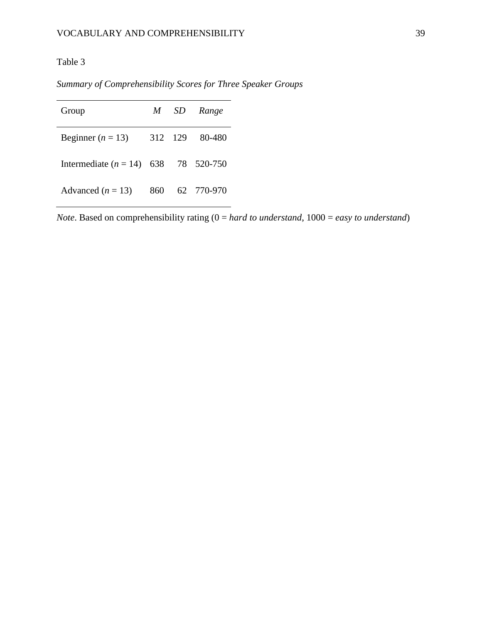## Table 3

*Summary of Comprehensibility Scores for Three Speaker Groups*

| Group                                  |     | M SD    | Range      |
|----------------------------------------|-----|---------|------------|
| Beginner ( $n = 13$ )                  |     | 312 129 | 80-480     |
| Intermediate $(n = 14)$ 638 78 520-750 |     |         |            |
| Advanced $(n = 13)$                    | 860 |         | 62 770-970 |

*Note*. Based on comprehensibility rating (0 = *hard to understand*, 1000 = *easy to understand*)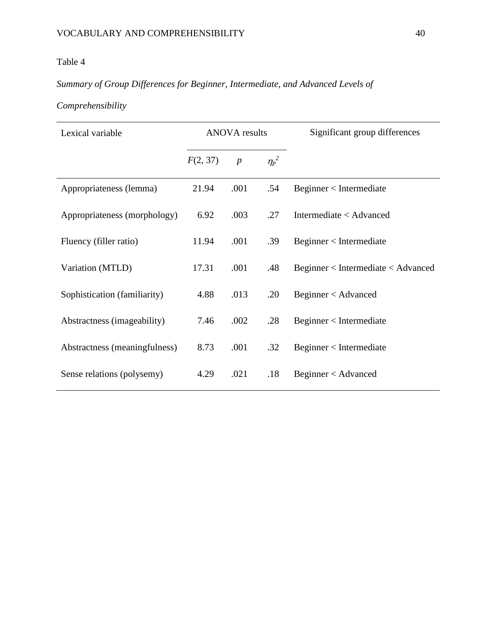## Table 4

# *Summary of Group Differences for Beginner, Intermediate, and Advanced Levels of*

# *Comprehensibility*

| Lexical variable              | <b>ANOVA</b> results |                  |            | Significant group differences      |
|-------------------------------|----------------------|------------------|------------|------------------------------------|
|                               | F(2, 37)             | $\boldsymbol{p}$ | $\eta_p^2$ |                                    |
| Appropriateness (lemma)       | 21.94                | .001             | .54        | Beginner < Intermediate            |
| Appropriateness (morphology)  | 6.92                 | .003             | .27        | Intermediate < Advanced            |
| Fluency (filler ratio)        | 11.94                | .001             | .39        | Beginner < Intermediate            |
| Variation (MTLD)              | 17.31                | .001             | .48        | Beginner < Intermediate < Advanced |
| Sophistication (familiarity)  | 4.88                 | .013             | .20        | Beginner < Advanced                |
| Abstractness (imageability)   | 7.46                 | .002             | .28        | Beginner < Intermediate            |
| Abstractness (meaningfulness) | 8.73                 | .001             | .32        | Beginner < Intermediate            |
| Sense relations (polysemy)    | 4.29                 | .021             | .18        | Beginner < Advanced                |